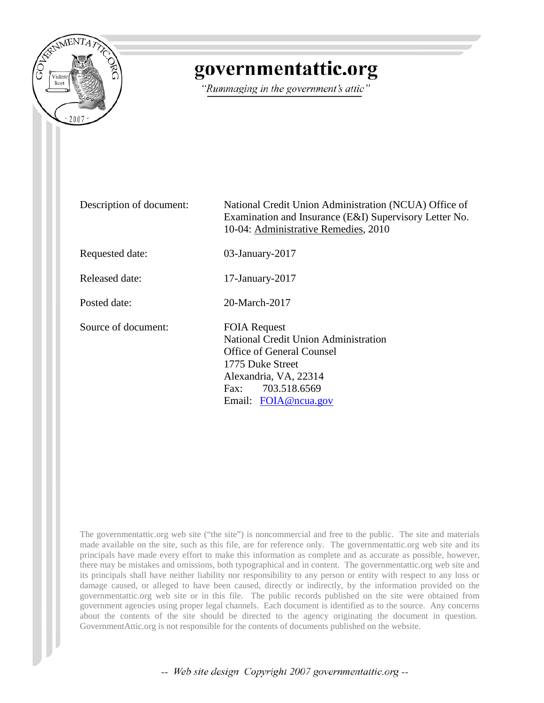

## governmentattic.org

"Rummaging in the government's attic"

Description of document: National Credit Union Administration (NCUA) Office of Examination and Insurance (E&I) Supervisory Letter No. 10-04: Administrative Remedies, 2010 Requested date: 03-January-2017 Released date: 17-January-2017 Posted date: 20-March-2017 Source of document: FOIA Request National Credit Union Administration Office of General Counsel 1775 Duke Street Alexandria, VA, 22314 Fax: 703.518.6569 Email: [FOIA@ncua.gov](mailto:FOIA@ncua.gov?subject=FOIA%20Request)

The governmentattic.org web site ("the site") is noncommercial and free to the public. The site and materials made available on the site, such as this file, are for reference only. The governmentattic.org web site and its principals have made every effort to make this information as complete and as accurate as possible, however, there may be mistakes and omissions, both typographical and in content. The governmentattic.org web site and its principals shall have neither liability nor responsibility to any person or entity with respect to any loss or damage caused, or alleged to have been caused, directly or indirectly, by the information provided on the governmentattic.org web site or in this file. The public records published on the site were obtained from government agencies using proper legal channels. Each document is identified as to the source. Any concerns about the contents of the site should be directed to the agency originating the document in question. GovernmentAttic.org is not responsible for the contents of documents published on the website.

-- Web site design Copyright 2007 governmentattic.org --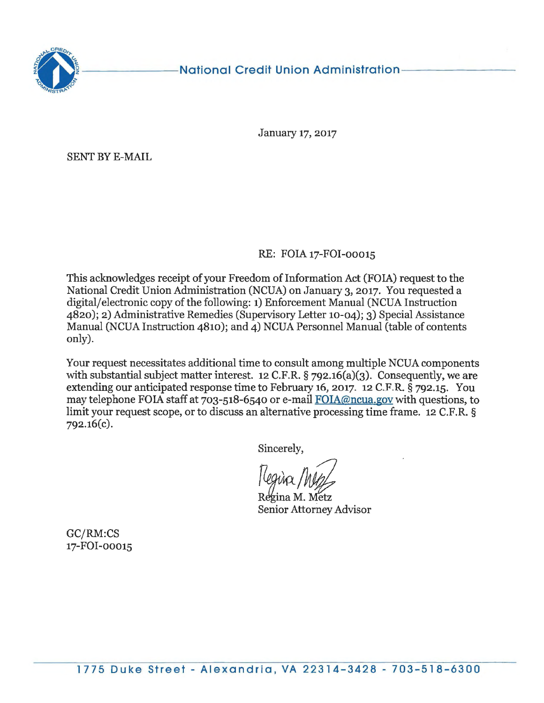

#### National Credit Union Administration

January 17, 2017

SENT BY E-MAIL

#### RE: FOIA 17-FOI-00015

This acknowledges receipt of your Freedom of Information Act (FOIA) request to the National Credit Union Administration (NCUA) on January 3, 2017. You requested a digital/ electronic copy of the following: 1) Enforcement Manual (NCUA Instruction 4820); 2) Administrative Remedies (Supervisory Letter 10-04); 3) Special Assistance Manual (NCUA Instruction 4810); and  $\overline{4}$ ) NCUA Personnel Manual (table of contents only).

Your request necessitates additional time to consult among multiple NCUA components with substantial subject matter interest. 12 C.F.R.  $\S$  792.16(a)(3). Consequently, we are extending our anticipated response time to February 16, 2017. 12 C.F.R. § 792.15. You may telephone FOIA staff at 703-518-6540 or e-mail FOIA@ncua.gov with questions, to limit your request scope, or to discuss an alternative processing time frame. 12 C.F.R. § 792.16(c).

Sincerely,

 $\sqrt{\frac{2}{100}}$ 

ƙina M. Metz Senior Attorney Advisor

GC/RM:CS 17-FOI-00015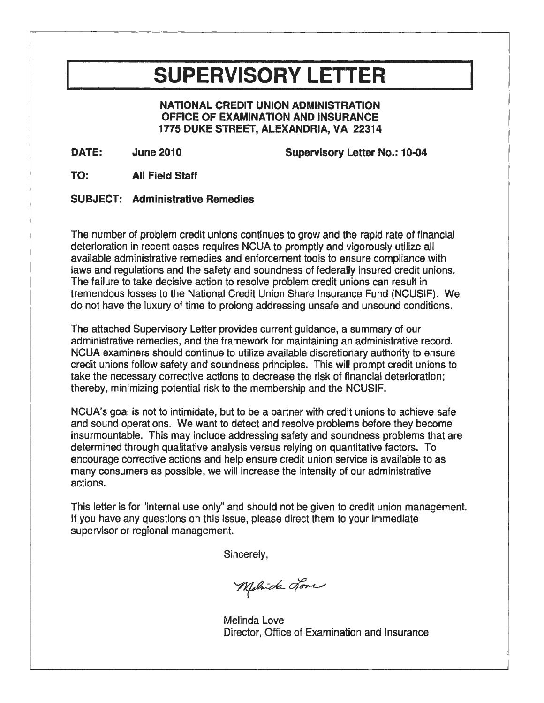# **SUPERVISORY LETTER**

**NATIONAL CREDIT UNION ADMINISTRATION OFFICE OF EXAMINATION AND INSURANCE 1775 DUKE STREET, ALEXANDRIA, VA 22314** 

**DATE:** 

**June 2010 Supervisory Letter No.: 10-04** 

**TO: All Field Staff** 

#### **SUBJECT: Administrative Remedies**

The number of problem credit unions continues to grow and the rapid rate of financial deterioration in recent cases requires NCUA to promptly and vigorously utilize all available administrative remedies and enforcement tools to ensure compliance with laws and regulations and the safety and soundness of federally insured credit unions. The failure to take decisive action to resolve problem credit unions can result in tremendous losses to the National Credit Union Share Insurance Fund (NCUSIF). We do not have the luxury of time to prolong addressing unsafe and unsound conditions.

The attached Supervisory Letter provides current guidance, a summary of our administrative remedies, and the framework for maintaining an administrative record. NCUA examiners should continue to utilize available discretionary authority to ensure credit unions follow safety and soundness principles. This will prompt credit unions to take the necessary corrective actions to decrease the risk of financial deterioration; thereby, minimizing potential risk to the membership and the NCUSIF.

NCUA's goal is not to intimidate, but to be a partner with credit unions to achieve safe and sound operations. We want to detect and resolve problems before they become insurmountable. This may include addressing safety and soundness problems that are determined through qualitative analysis versus relying on quantitative factors. To encourage corrective actions and help ensure credit union service is available to as many consumers as possible, we will increase the intensity of our administrative actions.

This letter is for "internal use only" and should not be given to credit union management. If you have any questions on this issue, please direct them to your immediate supervisor or regional management.

Sincerely,

Melvida Jone

Melinda Love Director, Office of Examination and Insurance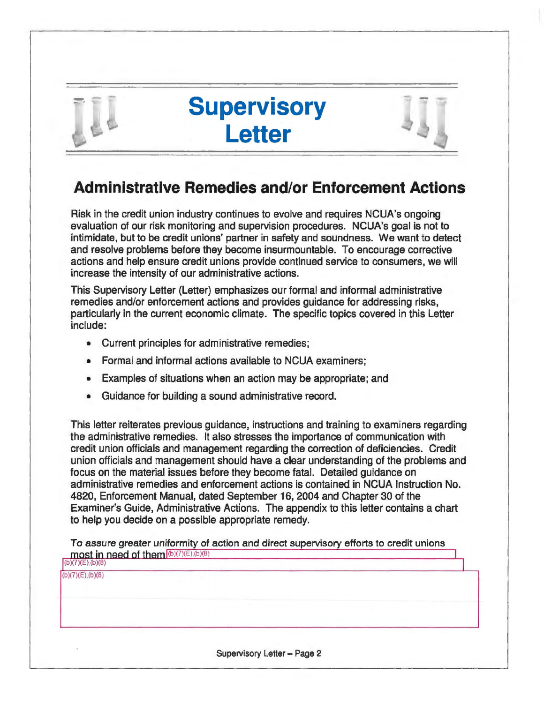

# **Supervisory Letter**



## **Administrative Remedies and/or Enforcement Actions**

Risk in the credit union industry continues to evolve and requires NCUA's ongoing evaluation of our risk monitoring and supervision procedures. NCUA's goal is not to intimidate, but to be credit unions' partner in safety and soundness. We want to detect and resolve problems before they become insurmountable. To encourage corrective actions and help ensure credit unions provide continued service to consumers, we will increase the intensity of our administrative actions.

This Supervisory Letter (Letter) emphasizes our formal and informal administrative remedies and/or enforcement actions and provides guidance for addressing risks, particularly in the current economic climate. The specific topics covered in this Letter include:

- Current principles for administrative remedies;
- Formal and informal actions available to NCUA examiners;
- Examples of situations when an action may be appropriate; and
- Guidance for building a sound administrative record.

This letter reiterates previous guidance, instructions and training to examiners regarding the administrative remedies. It also stresses the importance of communication with credit union officials and management regarding the correction of deficiencies. Credit union officials and management should have a clear understanding of the problems and focus on the material issues before they become fatal. Detailed guidance on administrative remedies and enforcement actions is contained in NCUA Instruction No. 4820, Enforcement Manual, dated September 16, 2004 and Chapter 30 of the Examiner's Guide, Administrative Actions. The appendix to this letter contains a chart to help you decide on a possible appropriate remedy.

To assure greater uniformity of action and direct supervisory efforts to credit unions  $\text{most in need of them}$  $(b)(7)(E),(b)(8)$ (b)(7)(E) (b)(8)

 $(b)(7)(E)$ , $(b)(8)$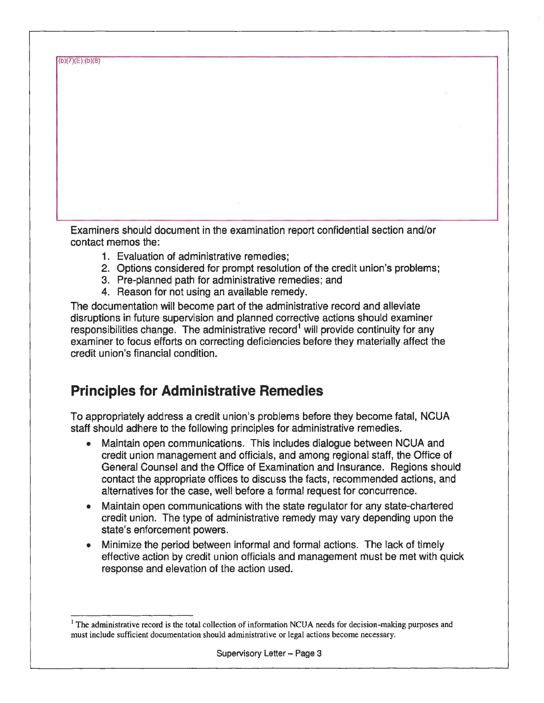(bl(7)(E),(b)(B)

Examiners should document in the examination report confidential section and/or contact memos the:

- 1. Evaluation of administrative remedies;
- 2. Options considered for prompt resolution of the credit union's problems;
- 3. Pre-planned path for administrative remedies; and
- 4. Reason for not using an available remedy.

The documentation will become part of the administrative record and alleviate disruptions in future supervision and planned corrective actions should examiner responsibilities change. The administrative record<sup>1</sup> will provide continuity for any examiner to focus efforts on correcting deficiencies before they materially affect the credit union's financial condition.

## **Principles for Administrative Remedies**

To appropriately address a credit union's problems before they become fatal, NCUA staff should adhere to the following principles for administrative remedies.

- Maintain open communications. This includes dialogue between NCUA and credit union management and officials, and among regional staff, the Office of General Counsel and the Office of Examination and Insurance. Regions should contact the appropriate offices to discuss the facts, recommended actions, and alternatives for the case, well before a formal request for concurrence.
- Maintain open communications with the state regulator for any state-chartered credit union. The type of administrative remedy may vary depending upon the state's enforcement powers.
- Minimize the period between informal and formal actions. The lack of timely effective action by credit union officials and management must be met with quick response and elevation of the action used.

<sup>&</sup>lt;sup>1</sup> The administrative record is the total collection of information NCUA needs for decision-making purposes and must include sufficient documentation should administrative or legal actions become necessary.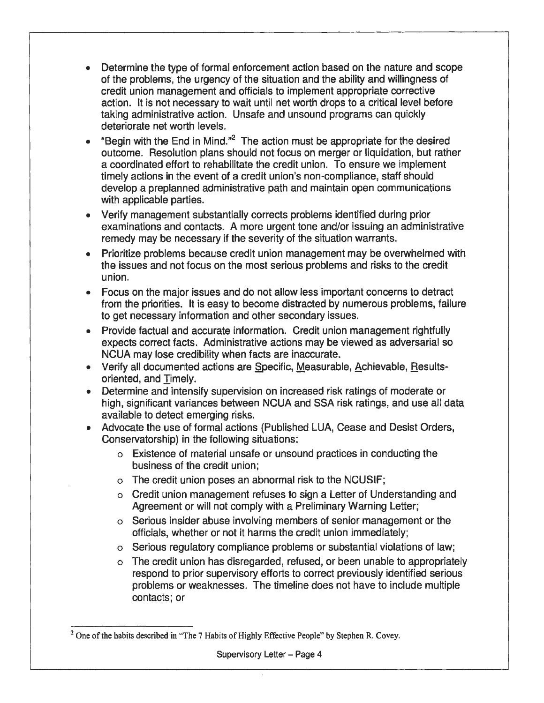- Determine the type of formal enforcement action based on the nature and scope of the problems, the urgency of the situation and the ability and willingness of credit union management and officials to implement appropriate corrective action. It is not necessary to wait until net worth drops to a critical level before taking administrative action. Unsafe and unsound programs can quickly deteriorate net worth levels.
- "Begin with the End in Mind."2 The action must be appropriate for the desired outcome. Resolution plans should not focus on merger or liquidation, but rather a coordinated effort to rehabilitate the credit union. To ensure we implement timely actions in the event of a credit union's non-compliance, staff should develop a preplanned administrative path and maintain open communications with applicable parties.
- Verify management substantially corrects problems identified during prior examinations and contacts. A more urgent tone and/or issuing an administrative remedy may be necessary if the severity of the situation warrants.
- Prioritize problems because credit union management may be overwhelmed with the issues and not focus on the most serious problems and risks to the credit union.
- Focus on the major issues and do not allow less important concerns to detract from the priorities. It is easy to become distracted by numerous problems, failure to get necessary information and other secondary issues.
- Provide factual and accurate information. Credit union management rightfully expects correct facts. Administrative actions may be viewed as adversarial so NCUA may lose credibility when facts are inaccurate.
- Verify all documented actions are §pacific, Measurable, Achievable, Resultsoriented, and Timely.
- Determine and intensify supervision on increased risk ratings of moderate or high, significant variances between NCUA and SSA risk ratings, and use all data available to detect emerging risks.
- Advocate the use of formal actions (Published LUA, Cease and Desist Orders, Conservatorship) in the following situations:
	- o Existence of material unsafe or unsound practices in conducting the business of the credit union;
	- o The credit union poses an abnormal risk to the NCUSIF;
	- o Credit union management refuses to sign a Letter of Understanding and Agreement or will not comply with a Preliminary Warning Letter;
	- o Serious insider abuse involving members of senior management or the officials, whether or not it harms the credit union immediately;
	- o Serious regulatory compliance problems or substantial violations of law;
	- o The credit union has disregarded, refused, or been unable to appropriately respond to prior supervisory efforts to correct previously identified serious problems or weaknesses. The timeline does not have to include multiple contacts; or

 $2$  One of the habits described in "The 7 Habits of Highly Effective People" by Stephen R. Covey.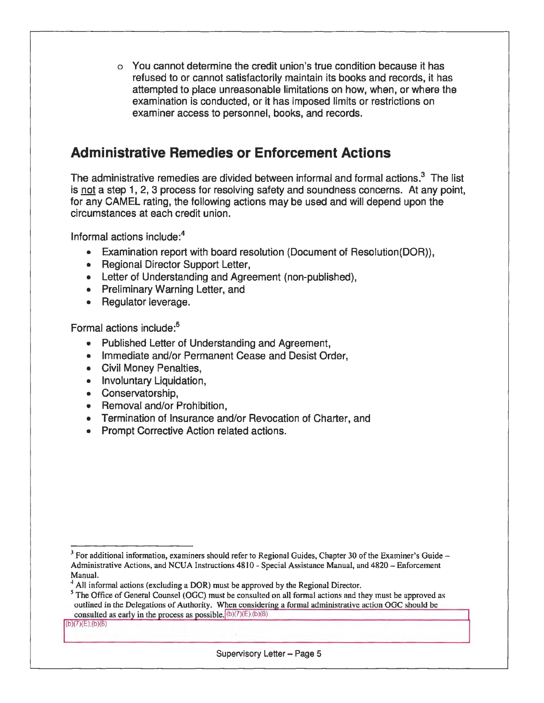o You cannot determine the credit union's true condition because it has refused to or cannot satisfactorily maintain its books and records, it has attempted to place unreasonable limitations on how, when, or where the examination is conducted, or it has imposed limits or restrictions on examiner access to personnel, books, and records.

## **Administrative Remedies or Enforcement Actions**

The administrative remedies are divided between informal and formal actions. $3$  The list is not a step 1, 2, 3 process for resolving safety and soundness concerns. At any point, for any CAMEL rating, the following actions may be used and will depend upon the circumstances at each credit union.

Informal actions include:<sup>4</sup>

- Examination report with board resolution (Document of Resolution(DOR)),
- Regional Director Support Letter,
- Letter of Understanding and Agreement (non-published),
- Preliminary Warning Letter, and
- Regulator leverage.

Formal actions include:<sup>5</sup>

- Published Letter of Understanding and Agreement,
- Immediate and/or Permanent Cease and Desist Order,
- Civil Money Penalties,
- Involuntary Liquidation,
- Conservatorship,
- Removal and/or Prohibition,
- Termination of Insurance and/or Revocation of Charter, and
- Prompt Corrective Action related actions.

 $(b)(7)(E)$ . $(b)(8)$ 

 $3$  For additional information, examiners should refer to Regional Guides, Chapter 30 of the Examiner's Guide  $-$ Administrative Actions, and NCUA Instructions 4810 - Special Assistance Manual, and 4820 - Enforcement Manual.

 $4$  All informal actions (excluding a DOR) must be approved by the Regional Director.

<sup>&</sup>lt;sup>5</sup> The Office of General Counsel (OGC) must be consulted on all formal actions and they must be approved as outlined in the Delegations of Authority. When considering a formal administrative action OGC should be consulted as early in the process as possible.  $(b)(7)(E)(b)(8)$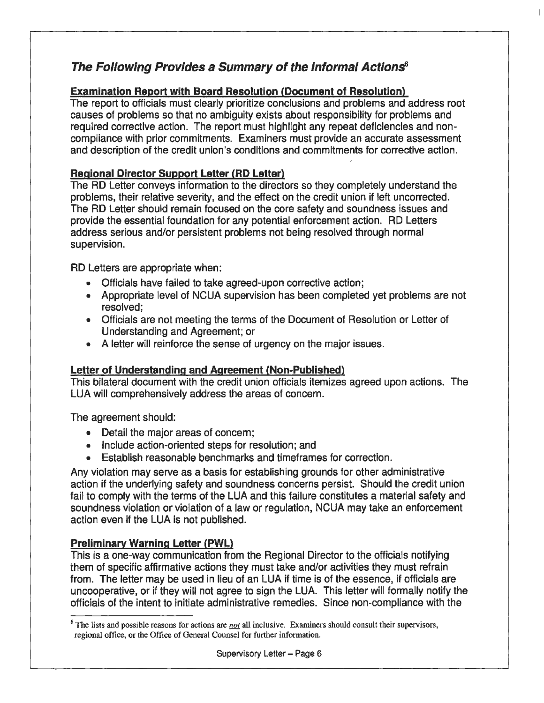## **The Following Provides a Summary of the Informal Actions6**

#### **Examination Report with Board Resolution (Document of Resolution)**

The report to officials must clearly prioritize conclusions and problems and address root causes of problems so that no ambiguity exists about responsibility for problems and required corrective action. The report must highlight any repeat deficiencies and noncompliance with prior commitments. Examiners must provide an accurate assessment and description of the credit union's conditions and commitments for corrective action.

#### **Regional Director Support Letter (RD Letter)**

The RD Letter conveys information to the directors so they completely understand the problems, their relative severity, and the effect on the credit union if left uncorrected. The RD Letter should remain focused on the core safety and soundness issues and provide the essential foundation for any potential enforcement action. RD Letters address serious and/or persistent problems not being resolved through normal supervision.

RD Letters are appropriate when:

- Officials have failed to take agreed-upon corrective action;
- Appropriate level of NCUA supervision has been completed yet problems are not resolved;
- Officials are not meeting the terms of the Document of Resolution or Letter of Understanding and Agreement; or
- A letter will reinforce the sense of urgency on the major issues.

#### **Letter of Understanding and Agreement (Non-Published)**

This bilateral document with the credit union officials itemizes agreed upon actions. The LUA will comprehensively address the areas of concern.

The agreement should:

- Detail the major areas of concern;
- Include action-oriented steps for resolution; and
- Establish reasonable benchmarks and timeframes for correction.

Any violation may serve as a basis for establishing grounds for other administrative action if the underlying safety and soundness concerns persist. Should the credit union fail to comply with the terms of the LUA and this failure constitutes a material safety and soundness violation or violation of a law or regulation, NCUA may take an enforcement action even if the LUA is not published.

#### **Preliminary Warning Letter (PWL)**

This is a one-way communication from the Regional Director to the officials notifying them of specific affirmative actions they must take and/or activities they must refrain from. The letter may be used in lieu of an LUA if time is of the essence, if officials are uncooperative, or if they will not agree to sign the LUA. This letter will formally notify the officials of the intent to initiate administrative remedies. Since non-compliance with the

<sup>6</sup> The lists and possible reasons for actions are *not* all inclusive. Examiners should consult their supervisors, regional office, or the Office of General Counsel for further information.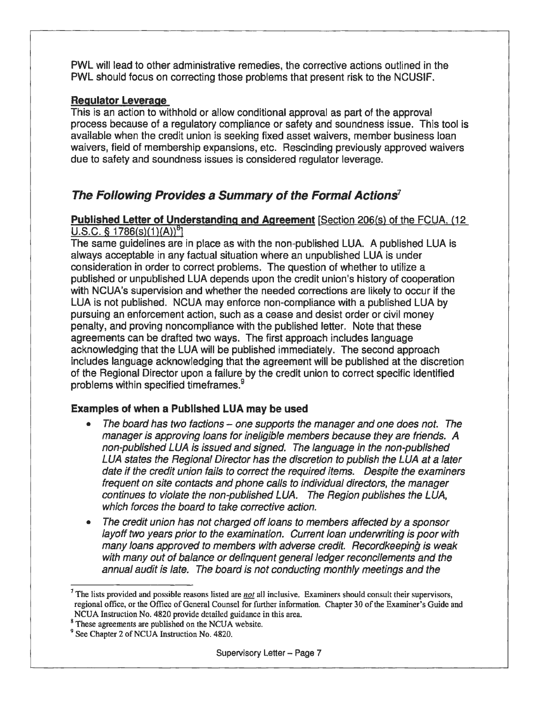PWL will lead to other administrative remedies, the corrective actions outlined in the PWL should focus on correcting those problems that present risk to the NCUSIF.

#### **Regulator Leverage**

This is an action to withhold or allow conditional approval as part of the approval process because of a regulatory compliance or safety and soundness issue. This tool is available when the credit union is seeking fixed asset waivers, member business loan waivers, field of membership expansions, etc. Rescinding previously approved waivers due to safety and soundness issues is considered regulator leverage.

## **The Following Provides a Summary of the Formal Actions***<sup>7</sup>*

#### **Published Letter of Understanding and Agreement [Section 206(s) of the FCUA, (12**  $U.S.C.$  § 1786(s)(1)(A))<sup>8</sup>]

The same guidelines are in place as with the non-published LUA. A published LUA is always acceptable in any factual situation where an unpublished LUA is under consideration in order to correct problems. The question of whether to utilize a published or unpublished LUA depends upon the credit union's history of cooperation with NCUA's supervision and whether the needed corrections are likely to occur if the LUA is not published. NCUA may enforce non-compliance with a published LUA by pursuing an enforcement action, such as a cease and desist order or civil money penalty, and proving noncompliance with the published letter. Note that these agreements can be drafted two ways. The first approach includes language acknowledging that the LUA will be published immediately. The second approach includes language acknowledging that the agreement will be published at the discretion of the Regional Director upon a failure by the credit union to correct specific identified problems within specified timeframes.<sup>9</sup>

#### **Examples of when a Published LUA may be used**

- The board has two factions one supports the manager and one does not. The manager is approving loans for ineligible members because they are friends. A non-published LUA is issued and signed. The language in the non-published LUA states the Regional Director has the discretion to publish the LUA at a later date if the credit union fails to correct the required items. Despite the examiners frequent on site contacts and phone calls to individual directors, the manager continues to violate the non-published LUA. The Region publishes the LUA, which forces the board to take corrective action.
- The credit union has not charged off loans to members affected by a sponsor layoff two years prior to the examination. Current loan underwriting is poor with many loans approved to members with adverse credit. Recordkeeping is weak with many out of balance or delinquent general ledger reconcilements and the annual audit is late. The board is not conducting monthly meetings and the

*<sup>1</sup>*The lists provided and possible reasons listed are *not* all inclusive. Examiners should consult their supervisors, regional office, or the Office of General Counsel for further information. Chapter 30 of the Examiner's Guide and NCUA Instruction No. 4820 provide detailed guidance in this area.

<sup>&</sup>lt;sup>8</sup> These agreements are published on the NCUA website. 9 See Chapter 2 of NCUA Instruction No. 4820.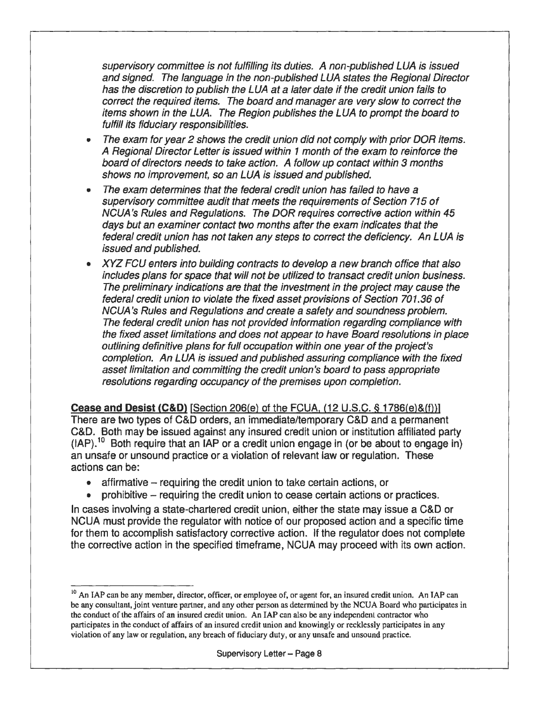supervisory committee is not fulfilling its duties. A non-published LUA is issued and signed. The language in the non-published LUA states the Regional Director has the discretion to publish the LUA at a later date if the credit union fails to correct the required items. The board and manager are very slow to correct the items shown in the LUA. The Region publishes the LUA to prompt the board to fulfill its fiduciary responsibilities.

- The exam for year 2 shows the credit union did not comply with prior DOR items. A Regional Director Letter is issued within 1 month of the exam to reinforce the board of directors needs to take action. A follow up contact within 3 months shows no improvement, so an LUA is issued and published.
- The exam determines that the federal credit union has failed to have a supervisory committee audit that meets the requirements of Section 715 of NCUA 's Rules and Regulations. The DOR requires corrective action within 45 days but an examiner contact two months after the exam indicates that the federal credit union has not taken any steps to correct the deficiency. An LUA is issued and published.
- XYZ FCU enters into building contracts to develop a new branch office that also includes plans for space that will not be utilized to transact credit union business. The preliminary indications are that the investment in the project may cause the federal credit union to violate the fixed asset provisions of Section 701.36 of NCUA 's Rules and Regulations and create a safety and soundness problem. The federal credit union has not provided information regarding compliance with the fixed asset limitations and does not appear to have Board resolutions in place outlining definitive plans for full occupation within one year of the project's completion. An LUA is issued and published assuring compliance with the fixed asset limitation and committing the credit union's board to pass appropriate resolutions regarding occupancy of the premises upon completion.

**Cease and Desist (C&D)** [Section 206(e) of the FCUA,  $(12 \text{ U.S.C.} \& 1786(e) \& (f))$ ] There are two types of C&D orders, an immediate/temporary C&D and a permanent C&D. Both may be issued against any insured credit union or institution affiliated party  $(IAP).<sup>10</sup>$  Both require that an IAP or a credit union engage in (or be about to engage in) an unsafe or unsound practice or a violation of relevant law or regulation. These actions can be:

- $\bullet$  affirmative requiring the credit union to take certain actions, or
- prohibitive requiring the credit union to cease certain actions or practices.

In cases involving a state-chartered credit union, either the state may issue a C&D or NCUA must provide the regulator with notice of our proposed action and a specific time for them to accomplish satisfactory corrective action. If the regulator does not complete the corrective action in the specified timeframe, NCUA may proceed with its own action.

<sup>&</sup>lt;sup>10</sup> An IAP can be any member, director, officer, or employee of, or agent for, an insured credit union. An IAP can be any consultant, joint venture partner, and any other person as determined by the NCUA Board who participates in the conduct of the affairs of an insured credit union. An IAP can also be any independent contractor who participates in the conduct of affairs of an insured credit union and knowingly or recklessly participates in any violation of any law or regulation, any breach of fiduciary duty, or any unsafe and unsound practice.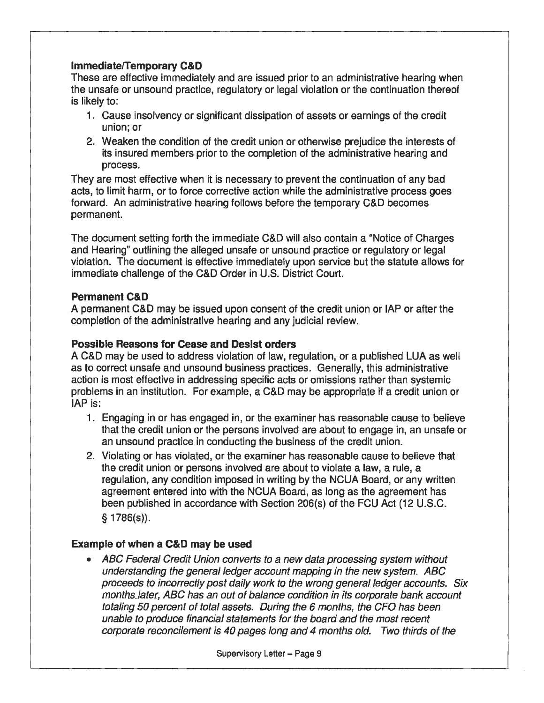#### **Immediate/Temporary C&D**

These are effective immediately and are issued prior to an administrative hearing when the unsafe or unsound practice, regulatory or legal violation or the continuation thereof is likely to:

- 1. Cause insolvency or significant dissipation of assets or earnings of the credit union; or
- 2. Weaken the condition of the credit union or otherwise prejudice the interests of its insured members prior to the completion of the administrative hearing and process.

They are most effective when it is necessary to prevent the continuation of any bad acts, to limit harm, or to force corrective action while the administrative process goes forward. An administrative hearing follows before the temporary C&D becomes permanent.

The document setting forth the immediate C&D will also contain a "Notice of Charges and Hearing" outlining the alleged unsafe or unsound practice or regulatory or legal violation. The document is effective immediately upon service but the statute allows for immediate challenge of the C&D Order in U.S. District Court.

#### **Permanent C&D**

A permanent C&D may be issued upon consent of the credit union or IAP or after the completion of the administrative hearing and any judicial review.

#### **Possible Reasons for Cease and Desist orders**

A C&D may be used to address violation of law, regulation, or a published LUA as well as to correct unsafe and unsound business practices. Generally, this administrative action is most effective in addressing specific acts or omissions rather than systemic problems in an institution. For example, a C&D may be appropriate if a credit union or IAP is:

- 1. Engaging in or has engaged in, or the examiner has reasonable cause to believe that the credit union or the persons involved are about to engage in, an unsafe or an unsound practice in conducting the business of the credit union.
- 2. Violating or has violated, or the examiner has reasonable cause to believe that the credit union or persons involved are about to violate a law, a rule, a regulation, any condition imposed in writing by the NCUA Board, or any written agreement entered into with the NCUA Board, as long as the agreement has been published in accordance with Section 206(s) of the FCU Act (12 U.S.C. § 1786(s)).

#### **Example of when a C&D may be used**

• ABC Federal Credit Union converts to a new data processing system without understanding the general ledger account mapping in the new system. ABC proceeds to incorrectly post daily work to the wrong general ledger accounts. Six monthsJater, AEC has an out of balance condition in its corporate bank account totaling 50 percent of total assets. During the 6 months, the CFO has been unable to produce financial statements for the board and the most recent corporate reconcilement is 40 pages long and 4 months old. Two thirds of the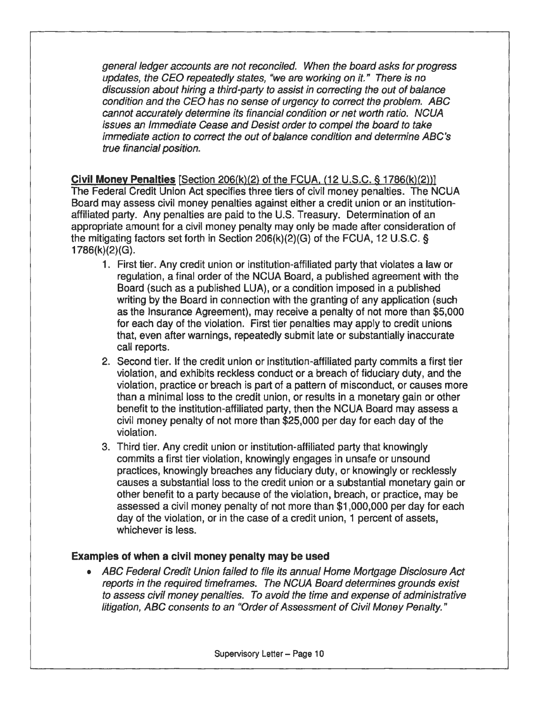general ledger accounts are not reconciled. When the board asks for progress updates, the CEO repeatedly states, "we are working on it." There is no discussion about hiring a third-party to assist in correcting the out of balance condition and the CEO has no sense of urgency to correct the problem. ABC cannot accurately determine its financial condition or net worth ratio. NCUA issues an Immediate Cease and Desist order to compel the board to take immediate action to correct the out of balance condition and determine ABC's true financial position.

**Civil Money Penalties** [Section 206(k)(2} of the FCUA. (12 U.S.C. § 1786(k)(2))] The Federal Credit Union Act specifies three tiers of civil money penalties. The NCUA Board may assess civil money penalties against either a credit union or an institutionaffiliated party. Any penalties are paid to the U.S. Treasury. Determination of an appropriate amount for a civil money penalty may only be made after consideration of the mitigating factors set forth in Section 206(k)(2)(G) of the FCUA, 12 U.S.C. § 1786(k)(2)(G).

- 1. First tier. Any credit union or institution-affiliated party that violates a law or regulation, a final order of the NCUA Board, a published agreement with the Board (such as a published LUA), or a condition imposed in a published writing by the Board in connection with the granting of any application (such as the Insurance Agreement), may receive a penalty of not more than \$5,000 for each day of the violation. First tier penalties may apply to credit unions that, even after warnings, repeatedly submit late or substantially inaccurate call reports.
- 2. Second tier. If the credit union or institution-affiliated party commits a first tier violation, and exhibits reckless conduct or a breach of fiduciary duty, and the violation, practice or breach is part of a pattern of misconduct, or causes more than a minimal loss to the credit union, or results in a monetary gain or other benefit to the institution-affiliated party, then the NCUA Board may assess a civil money penalty of not more than \$25,000 per day for each day of the violation.
- 3. Third tier. Any credit union or institution-affiliated party that knowingly commits a first tier violation, knowingly engages in unsafe or unsound practices, knowingly breaches any fiduciary duty, or knowingly or recklessly causes a substantial loss to the credit union or a substantial monetary gain or other benefit to a party because of the violation, breach, or practice, may be assessed a civil money penalty of not more than \$1,000,000 per day for each day of the violation, or in the case of a credit union, 1 percent of assets, whichever is less.

#### **Examples of when a civil money penalty may be used**

• ABC Federal Credit Union failed to file its annual Home Mortgage Disclosure Act reports in the required timeframes. The NCUA Board determines grounds exist to assess civil money penalties. To avoid the time and expense of administrative litigation, ABC consents to an "Order of Assessment of Civil Money Penalty."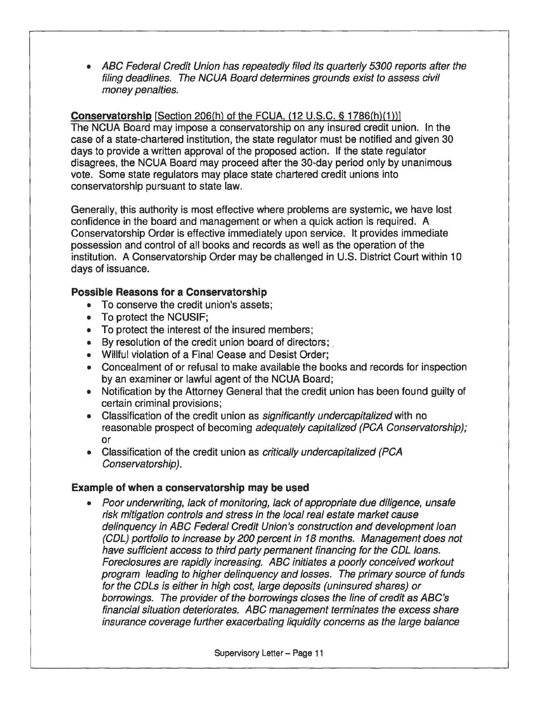• ABC Federal Credit Union has repeatedly filed its quarterly 5300 reports after the filing deadlines. The NCUA Board determines grounds exist to assess civil money penalties.

#### **Conservatorship** [Section 206(h) of the FCUA, (12 U.S.C. § 1786(h)(1))]

The NCUA Board may impose a conservatorship on any insured credit union. In the case of a state-chartered institution, the state regulator must be notified and given 30 days to provide a written approval of the proposed action. If the state regulator disagrees, the NCUA Board may proceed after the 30-day period only by unanimous vote. Some state regulators may place state chartered credit unions into conservatorship pursuant to state law.

Generally, this authority is most effective where problems are systemic, we have lost confidence in the board and management or when a quick action is required. A Conservatorship Order is effective immediately upon service. It provides immediate possession and control of all books and records as well as the operation of the institution. A Conservatorship Order may be challenged in U.S. District Court within 1 O days of issuance.

#### **Possible Reasons for a Conservatorship**

- To conserve the credit union's assets;
- To protect the NCUSIF;
- To protect the interest of the insured members;
- By resolution of the credit union board of directors;.
- Willful violation of a Final Cease and Desist Order;
- Concealment of or refusal to make available the books and records for inspection by an examiner or lawful agent of the NCUA Board;
- Notification by the Attorney General that the credit union has been found guilty of certain criminal provisions;
- Classification of the credit union as *significantly undercapitalized* with no reasonable prospect of becoming adequately capitalized (PCA Conservatorship); or
- Classification of the credit union as *critically undercapitalized (PCA* Conservatorship).

#### **Example of when a conservatorship may be used**

• Poor underwriting, lack of monitoring, lack of appropriate due diligence, unsafe risk mitigation controls and stress in the local real estate market cause delinquency in ABC Federal Credit Union's construction and development loan (COL) portfolio to increase by 200 percent in 18 months. Management does not have sufficient access to third party permanent financing for the COL loans. Foreclosures are rapidly increasing. ABC initiates a poorly conceived workout program leading to higher delinquency and losses. The primary source of funds for the CDLs is either in high cost, large deposits (uninsured shares) or borrowings. The provider of the borrowings closes the line of credit as ABC's financial situation deteriorates. ABC management terminates the excess share insurance coverage further exacerbating liquidity concerns as the large balance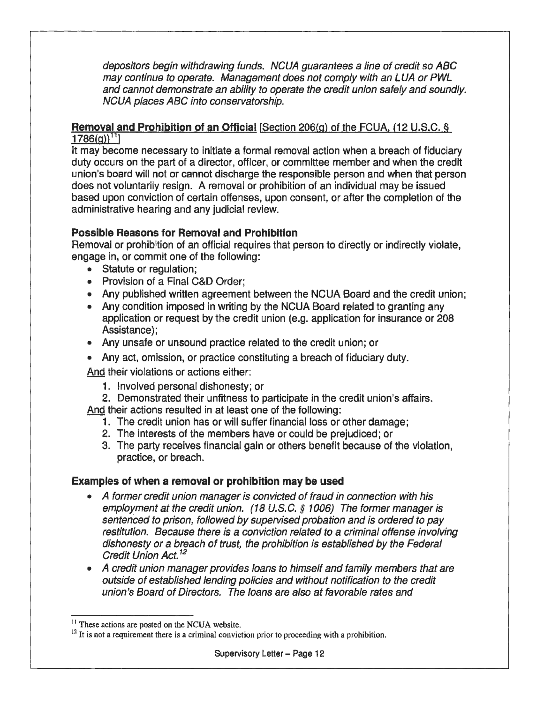depositors begin withdrawing funds. NCLJA guarantees a line of credit so ABC may continue to operate. Management does not comply with an LUA or PWL and cannot demonstrate an ability to operate the credit union safely and soundly. NCUA places ABC into conservatorship.

## **Removal and Prohibition of an Official** [Section 206(g) of the FCUA. (12 U.S.C. §

 $1786(q)^{11}$ 

It may become necessary to initiate a formal removal action when a breach of fiduciary duty occurs on the part of a director, officer, or committee member and when the credit union's board will not or cannot discharge the responsible person and when that person does not voluntarily resign. A removal or prohibition of an individual may be issued based upon conviction of certain offenses, upon consent, or after the completion of the administrative hearing and any judicial review.

#### **Possible Reasons for Removal and Prohibition**

Removal or prohibition of an official requires that person to directly or indirectly violate, engage in, or commit one of the following:

- Statute or regulation;
- Provision of a Final C&D Order;
- Any published written agreement between the NCUA Board and the credit union;
- Any condition imposed in writing by the NCUA Board related to granting any application or request by the credit union (e.g. application for insurance or 208 Assistance);
- Any unsafe or unsound practice related to the credit union; or
- Any act, omission, or practice constituting a breach of fiduciary duty.

And their violations or actions either:

- 1. Involved personal dishonesty; or
- 2. Demonstrated their unfitness to participate in the credit union's affairs.

And their actions resulted in at least one of the following:

- 1. The credit union has or will suffer financial loss or other damage;
- 2. The interests of the members have or could be prejudiced; or
- 3. The party receives financial gain or others benefit because of the violation, practice, or breach.

#### **Examples of when a removal or prohibition may be used**

- A former credit union manager is convicted of fraud in connection with his employment at the credit union. (18 U.S.C. *§* 1006) The former manager is sentenced to prison, followed by supervised probation and is ordered to pay restitution. Because there is a conviction related to a criminal offense involving dishonesty or a breach of trust, the prohibition is established by the Federal Credit Union Act. 12
- A credit union manager provides loans to himself and family members that are outside of established lending policies and without notification to the credit union's Board of Directors. The loans are also at favorable rates and

<sup>&</sup>lt;sup>11</sup> These actions are posted on the NCUA website.

 $12$  It is not a requirement there is a criminal conviction prior to proceeding with a prohibition.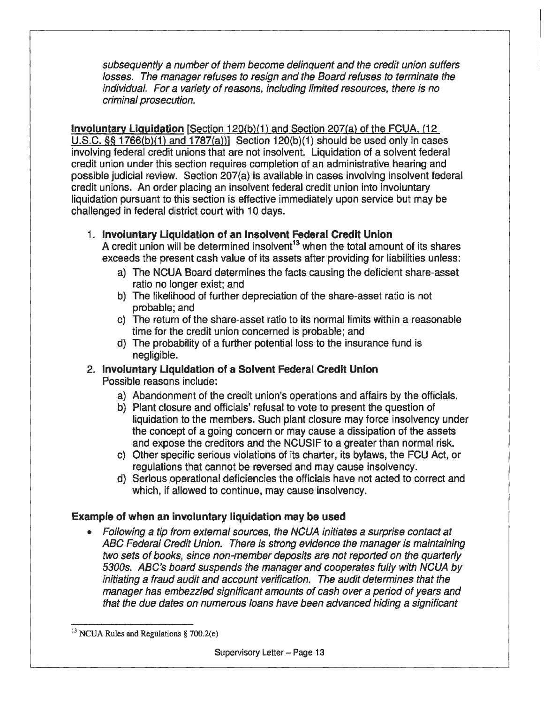subsequently a number of them become delinquent and the credit union suffers losses. The manager refuses to resign and the Board refuses to terminate the individual. For a variety of reasons, including limited resources, there is no . criminal prosecution.

**Involuntary Liquidation** [Section 120(b)(1) and Section 207(a) of the FCUA. (12 U.S.C. §§ 1766(b)(1) and 1787(a))] Section 120(b)(1) should be used only in cases involving federal credit unions that are not insolvent. Liquidation of a solvent federal credit union under this section requires completion of an administrative hearing and possible judicial review. Section 207(a) is available in cases involving insolvent federal credit unions. An order placing an insolvent federal credit union into involuntary liquidation pursuant to this section is effective immediately upon service but may be challenged in federal district court with 10 days.

1. **Involuntary Liquidation of an Insolvent Federal Credit Union** 

A credit union will be determined insolvent<sup>13</sup> when the total amount of its shares exceeds the present cash value of its assets after providing for liabilities unless:

- a) The NCUA Board determines the facts causing the deficient share-asset ratio no longer exist; and
- b) The likelihood of further depreciation of the share-asset ratio is not probable; and
- c) The return of the share-asset ratio to its normal limits within a reasonable time for the credit union concerned is probable; and
- d) The probability of a further potential loss to the insurance fund is negligible.
- 2. **Involuntary Liquidation of a Solvent Federal Credit Union**  Possible reasons include:
	- a) Abandonment of the credit union's operations and affairs by the officials.
	- b) Plant closure and officials' refusal to vote to present the question of liquidation to the members. Such plant closure may force insolvency under the concept of a going concern or may cause a dissipation of the assets and expose the creditors and the NCUSIF to a greater than normal risk.
	- c) Other specific serious violations of its charter, its bylaws, the FCU Act, or regulations that cannot be reversed and may cause insolvency.
	- d) Serious operational deficiencies the officials have not acted to correct and which, if allowed to continue, may cause insolvency.

#### **Example of when an involuntary liquidation may be used**

• Following a tip from external sources, the NCUA initiates a surprise contact at ABC Federal Credit Union. There is strong evidence the manager is maintaining two sets of books, since non-member deposits are not reported on the quarterly 5300s. ABC's board suspends the manager and cooperates fully with NCUA by initiating a fraud audit and account verification. The audit determines that the manager has embezzled significant amounts of cash over a period of years and that the due dates on numerous loans have been advanced hiding a significant

<sup>&</sup>lt;sup>13</sup> NCUA Rules and Regulations § 700.2(e)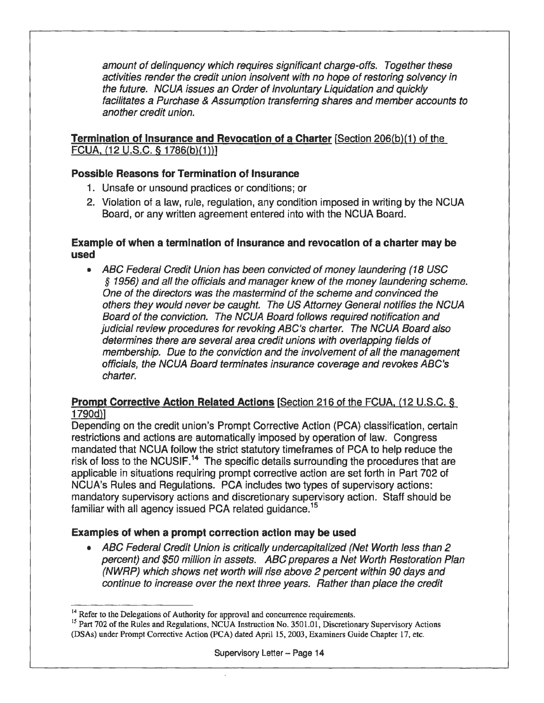amount of delinquency which requires significant charge-offs. Together these activities render the credit union insolvent with no hope of restoring solvency in the future. NCUA issues an Order of Involuntary Liquidation and quickly facilitates a Purchase & Assumption transferring shares and member accounts to another credit union.

#### **Termination of Insurance and Revocation of a Charter [Section 206(b)(1) of the** FCUA, (12 U.S.C. § 1786(b){1))]

#### **Possible Reasons for Termination of Insurance**

- 1. Unsafe or unsound practices or conditions; or
- 2. Violation of a law, rule, regulation, any condition imposed in writing by the NCUA Board, or any written agreement entered into with the NCUA Board.

#### **Example of when a termination of Insurance and revocation of a charter may be used**

• ABC Federal Credit Union has been convicted of money laundering (18 USC § 1956) and all the officials and manager knew of the money laundering scheme. One of the directors was the mastermind of the scheme and convinced the others they would never be caught. The US Attorney General notifies the NCUA Board of the conviction. The NCUA Board follows required notification and judicial review procedures for revoking ABC's charter. The NCUA Board also determines there are several area credit unions with overlapping fields of membership. Due to the conviction and the involvement of all the management officials, the NCUA Board terminates insurance coverage and revokes ABC's charter.

#### **Prompt Corrective Action Related Actions** [Section 216 of the FCUA, (12 U.S.C. § 1790d)]

Depending on the credit union's Prompt Corrective Action (PCA) classification, certain restrictions and actions are automatically imposed by operation of law. Congress mandated that NCUA follow the strict statutory timeframes of PCA to help reduce the risk of loss to the NCUSIF.<sup>14</sup> The specific details surrounding the procedures that are applicable in situations requiring prompt corrective action are set forth in Part 702 of NCUA's Rules and Regulations. PCA includes two types of supervisory actions: mandatory supervisory actions and discretionary supervisory action. Staff should be familiar with all agency issued PCA related guidance.<sup>15</sup>

#### **Examples of when a prompt correction action may be used**

• ABC Federal Credit Union is critically undercapitalized (Net Worth less than 2 percent) and \$50 million in assets. ABC prepares a Net Worth Restoration Plan (NWRP) which shows net worth will rise above 2 percent within 90 days and continue to increase over the next three years. Rather than place the credit

<sup>&</sup>lt;sup>14</sup> Refer to the Delegations of Authority for approval and concurrence requirements.

<sup>&</sup>lt;sup>15</sup> Part 702 of the Rules and Regulations, NCUA Instruction No. 3501.01, Discretionary Supervisory Actions (DSAs) under Prompt Corrective Action (PCA) dated April 15, 2003, Examiners Guide Chapter 17, etc.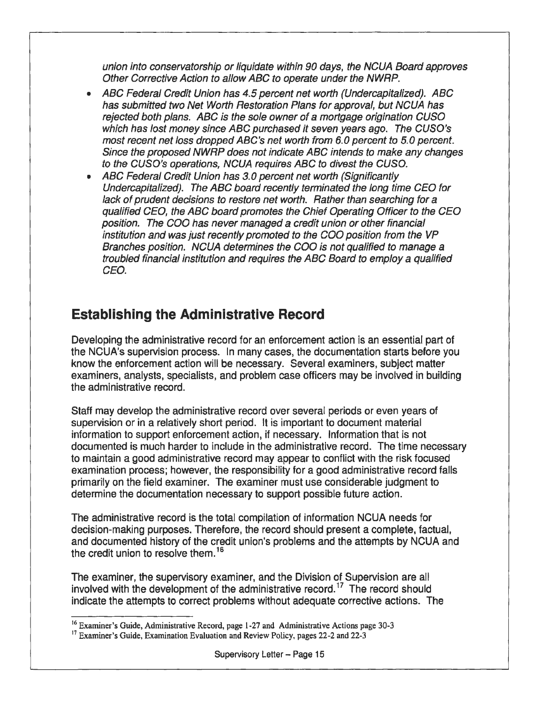union into conservatorship or liquidate within 90 days, the NCUA Board approves Other Corrective Action to allow ABC to operate under the NWRP.

- ABC Federal Credit Union has 4.5 percent net worth (Undercapitalized). ABC has submitted two Net Worth Restoration Plans for approval, but NCUA has rejected both plans. ABC is the sole owner of a mortgage origination CUSO which has lost money since ABC purchased it seven years ago. The CUSO's most recent net loss dropped ABC's net worth from 6.0 percent to 5.0 percent. Since the proposed NWRP does not indicate ABC intends to make any changes to the CUSO's operations, NCUA requires ABC to divest the CUSO.
- ABC Federal Credit Union has *3.0* percent net worth (Significantly Undercapitalized). The ABC board recently terminated the long time CEO for lack of prudent decisions to restore net worth. Rather than searching for a qualified CEO, the ABC board promotes the Chief Operating Officer to the CEO position. The COO has never managed a credit union or other financial institution and was just recently promoted to the COO position from the VP Branches position. NCUA determines the COO is not qualified to manage *a*  troubled financial institution and requires the ABC Board to employ a qualified CEO.

## **Establishing the Administrative Record**

Developing the administrative record for an enforcement action is an essential part of · the NCUA's supervision process. In many cases, the documentation starts before you know the enforcement action will be necessary. Several examiners, subject matter examiners, analysts, specialists, and problem case officers may be involved in building the administrative record.

Staff may develop the administrative record over several periods or even years of supervision or in a relatively short period. It is important to document material information to support enforcement action, if necessary. Information that is not documented is much harder to include in the administrative record. The time necessary to maintain a good administrative record may appear to conflict with the risk focused examination process; however, the responsibility for a good administrative record falls primarily on the field examiner. The examiner must use considerable judgment to determine the documentation necessary to support possible future action.

The administrative record is the total compilation of information NCUA needs for decision-making purposes. Therefore, the record should present a complete, factual, and documented history of the credit union's problems and the attempts by NCUA and the credit union to resolve them.<sup>16</sup>

The examiner, the supervisory examiner, and the Division of Supervision are all involved with the development of the administrative record.<sup>17</sup> The record should indicate the attempts to correct problems without adequate corrective actions. The

<sup>&</sup>lt;sup>16</sup> Examiner's Guide, Administrative Record, page 1-27 and Administrative Actions page 30-3

<sup>&</sup>lt;sup>17</sup> Examiner's Guide, Examination Evaluation and Review Policy, pages 22-2 and 22-3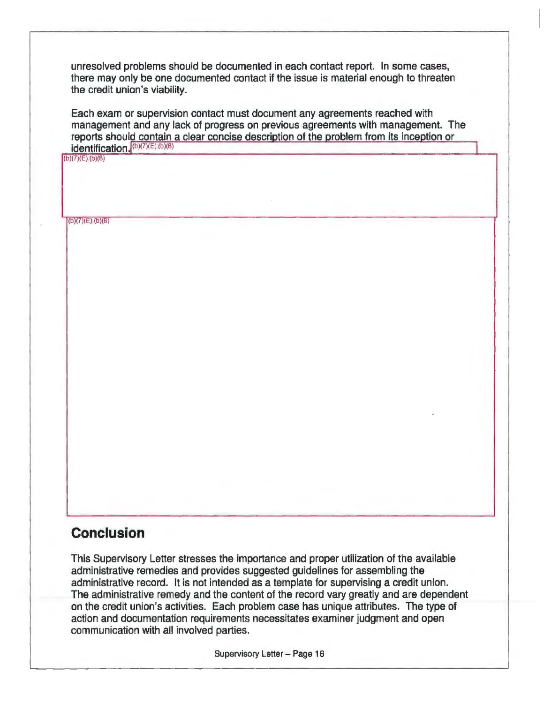unresolved problems should be documented in each contact report. In some cases, there may only be one documented contact if the issue is material enough to threaten the credit union's viability.

Each exam or supervision contact must document any agreements reached with management and any lack of progress on previous agreements with management. The reports should contain a clear concise descriotion of the problem from its inception or  $identification.$ <sup>(b)(7)(E)(b)(B)</sup>

(b)(7)(E),(b)(8)

 $(b)(7)(E)(b)(8)$ 

## **Conclusion**

This Supervisory Letter stresses the importance and proper utilization of the available administrative remedies and provides suggested guidelines for assembling the administrative record. It is not intended as a template for supervising a credit union. The administrative remedy and the content of the record vary greatly and are dependent on the credit union's activities. Each problem case has unique attributes. The type of action and documentation requirements necessitates examiner judgment and open communication with all involved parties.

Supervisory Letter - Page 16